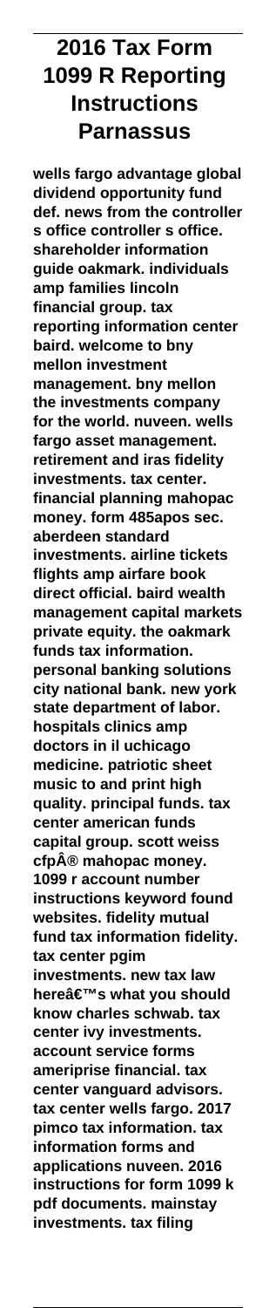# **2016 Tax Form 1099 R Reporting Instructions Parnassus**

**wells fargo advantage global dividend opportunity fund def. news from the controller s office controller s office. shareholder information guide oakmark. individuals amp families lincoln financial group. tax reporting information center baird. welcome to bny mellon investment management. bny mellon the investments company for the world. nuveen. wells fargo asset management. retirement and iras fidelity investments. tax center. financial planning mahopac money. form 485apos sec. aberdeen standard investments. airline tickets flights amp airfare book direct official. baird wealth management capital markets private equity. the oakmark funds tax information. personal banking solutions city national bank. new york state department of labor. hospitals clinics amp doctors in il uchicago medicine. patriotic sheet music to and print high quality. principal funds. tax center american funds capital group. scott weiss cfp® mahopac money. 1099 r account number instructions keyword found websites. fidelity mutual fund tax information fidelity. tax center pgim investments. new tax law here's what you should know charles schwab. tax center ivy investments. account service forms ameriprise financial. tax center vanguard advisors. tax center wells fargo. 2017 pimco tax information. tax information forms and applications nuveen. 2016 instructions for form 1099 k pdf documents. mainstay investments. tax filing**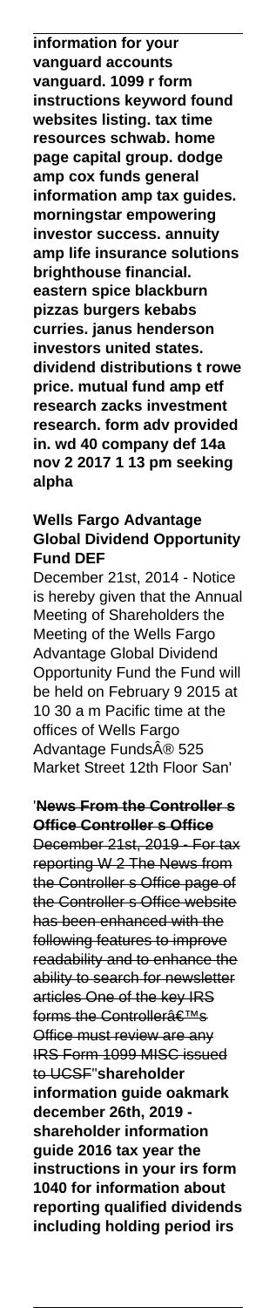**information for your vanguard accounts vanguard. 1099 r form instructions keyword found websites listing. tax time resources schwab. home page capital group. dodge amp cox funds general information amp tax guides. morningstar empowering investor success. annuity amp life insurance solutions brighthouse financial. eastern spice blackburn pizzas burgers kebabs curries. janus henderson investors united states. dividend distributions t rowe price. mutual fund amp etf research zacks investment research. form adv provided in. wd 40 company def 14a nov 2 2017 1 13 pm seeking alpha**

# **Wells Fargo Advantage Global Dividend Opportunity Fund DEF**

December 21st, 2014 - Notice is hereby given that the Annual Meeting of Shareholders the Meeting of the Wells Fargo Advantage Global Dividend Opportunity Fund the Fund will be held on February 9 2015 at 10 30 a m Pacific time at the offices of Wells Fargo Advantage Funds® 525 Market Street 12th Floor San'

### '**News From the Controller s Office Controller s Office**

December 21st, 2019 - For tax reporting W 2 The News from the Controller s Office page of the Controller s Office website has been enhanced with the following features to improve readability and to enhance the ability to search for newsletter articles One of the key IRS forms the Controllerâ€<sup>™s</sup> Office must review are any **IRS Form 1099 MISC issued** to UCSF''**shareholder information guide oakmark december 26th, 2019 shareholder information guide 2016 tax year the instructions in your irs form 1040 for information about reporting qualified dividends including holding period irs**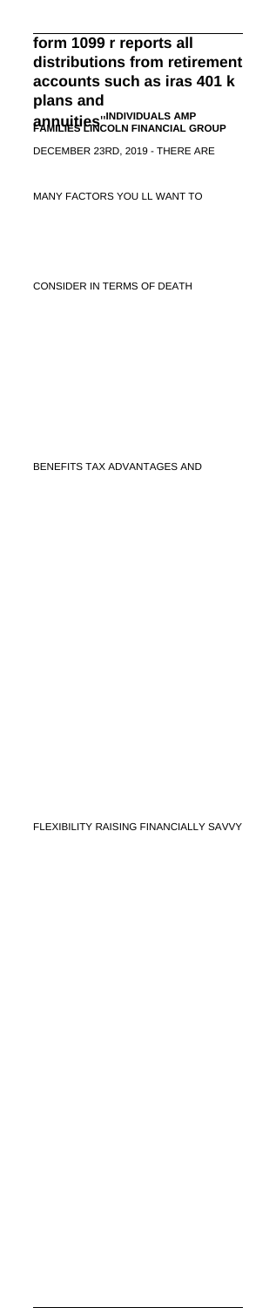# **form 1099 r reports all distributions from retirement accounts such as iras 401 k plans and**

**annuities**''**INDIVIDUALS AMP FAMILIES LINCOLN FINANCIAL GROUP**

DECEMBER 23RD, 2019 - THERE ARE

MANY FACTORS YOU LL WANT TO

CONSIDER IN TERMS OF DEATH

BENEFITS TAX ADVANTAGES AND

FLEXIBILITY RAISING FINANCIALLY SAVVY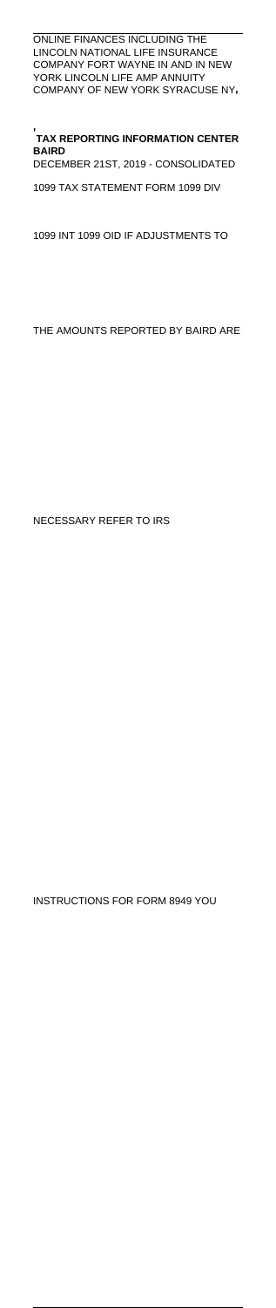ONLINE FINANCES INCLUDING THE LINCOLN NATIONAL LIFE INSURANCE COMPANY FORT WAYNE IN AND IN NEW YORK LINCOLN LIFE AMP ANNUITY COMPANY OF NEW YORK SYRACUSE NY'

'**TAX REPORTING INFORMATION CENTER BAIRD** DECEMBER 21ST, 2019 - CONSOLIDATED 1099 TAX STATEMENT FORM 1099 DIV

1099 INT 1099 OID IF ADJUSTMENTS TO

THE AMOUNTS REPORTED BY BAIRD ARE

NECESSARY REFER TO IRS

INSTRUCTIONS FOR FORM 8949 YOU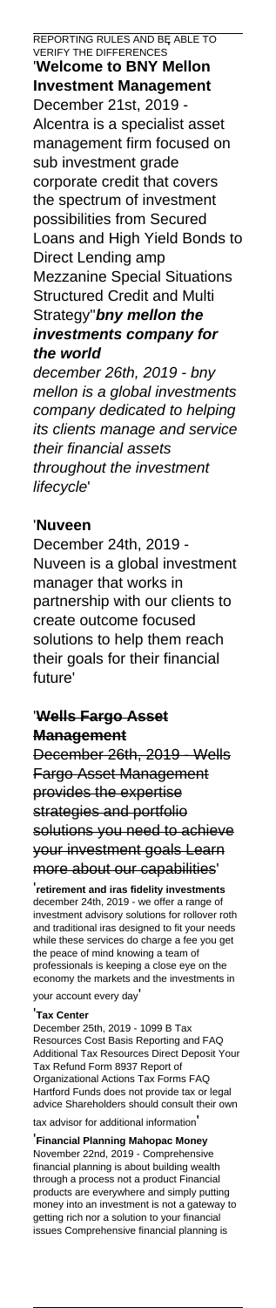REPORTING RULES AND BE ABLE TO VERIFY THE DIFFERENCES' '**Welcome to BNY Mellon Investment Management** December 21st, 2019 - Alcentra is a specialist asset management firm focused on sub investment grade corporate credit that covers the spectrum of investment possibilities from Secured Loans and High Yield Bonds to Direct Lending amp Mezzanine Special Situations Structured Credit and Multi Strategy''**bny mellon the investments company for the world** december 26th, 2019 - bny

mellon is a global investments company dedicated to helping its clients manage and service their financial assets throughout the investment lifecycle'

### '**Nuveen**

December 24th, 2019 - Nuveen is a global investment manager that works in partnership with our clients to create outcome focused solutions to help them reach their goals for their financial future'

### '**Wells Fargo Asset Management**

December 26th, 2019 - Wells Fargo Asset Management provides the expertise strategies and portfolio solutions you need to achieve your investment goals Learn more about our capabilities'

'**retirement and iras fidelity investments** december 24th, 2019 - we offer a range of investment advisory solutions for rollover roth and traditional iras designed to fit your needs while these services do charge a fee you get the peace of mind knowing a team of professionals is keeping a close eye on the economy the markets and the investments in your account every day'

#### '**Tax Center**

December 25th, 2019 - 1099 B Tax Resources Cost Basis Reporting and FAQ Additional Tax Resources Direct Deposit Tax Refund Form 8937 Report of Organizational Actions Tax Forms FAQ Hartford Funds does not provide tax or legal advice Shareholders should consult their own tax advisor for additional information'

'**Financial Planning Mahopac Money** November 22nd, 2019 - Comprehensive financial planning is about building wealth through a process not a product Financial products are everywhere and simply putting money into an investment is not a gateway to getting rich nor a solution to your financial issues Comprehensive financial planning is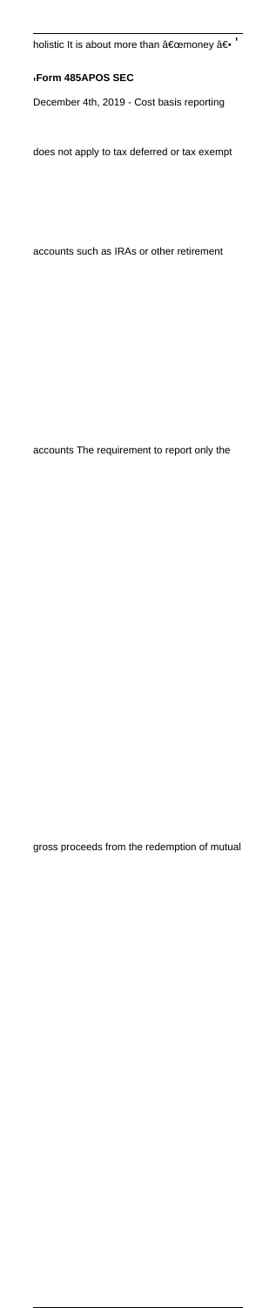holistic It is about more than  $\hat{a} \in \mathbb{C}$ emoney  $\hat{a} \in \mathbb{C}$ 

#### '**Form 485APOS SEC**

December 4th, 2019 - Cost basis reporting

does not apply to tax deferred or tax exempt

accounts such as IRAs or other retirement

accounts The requirement to report only the

gross proceeds from the redemption of mutual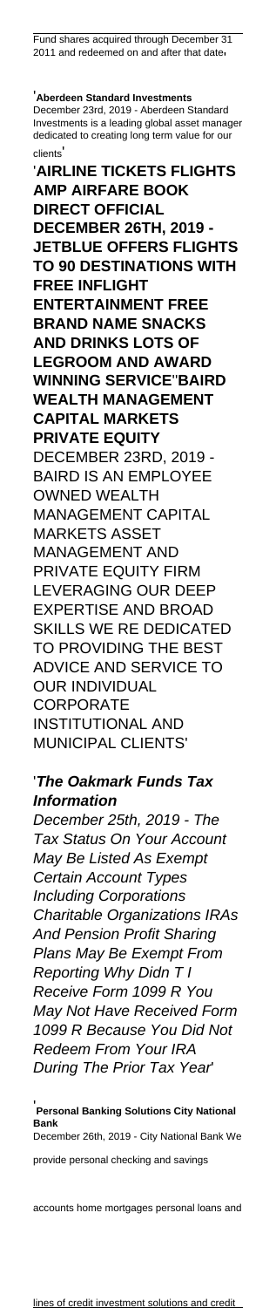'**Aberdeen Standard Investments** December 23rd, 2019 - Aberdeen Standard Investments is a leading global asset manager dedicated to creating long term value for our clients' '**AIRLINE TICKETS FLIGHTS AMP AIRFARE BOOK DIRECT OFFICIAL DECEMBER 26TH, 2019 - JETBLUE OFFERS FLIGHTS TO 90 DESTINATIONS WITH FREE INFLIGHT ENTERTAINMENT FREE BRAND NAME SNACKS AND DRINKS LOTS OF LEGROOM AND AWARD WINNING SERVICE**''**BAIRD WEALTH MANAGEMENT CAPITAL MARKETS PRIVATE EQUITY** DECEMBER 23RD, 2019 - BAIRD IS AN EMPLOYEE OWNED WEALTH MANAGEMENT CAPITAL MARKETS ASSET MANAGEMENT AND PRIVATE EQUITY FIRM LEVERAGING OUR DEEP EXPERTISE AND BROAD SKILLS WE RE DEDICATED TO PROVIDING THE BEST ADVICE AND SERVICE TO OUR INDIVIDUAL **CORPORATE** INSTITUTIONAL AND

# '**The Oakmark Funds Tax Information**

MUNICIPAL CLIENTS'

December 25th, 2019 - The Tax Status On Your Account May Be Listed As Exempt Certain Account Types Including Corporations Charitable Organizations IRAs And Pension Profit Sharing Plans May Be Exempt From Reporting Why Didn T I Receive Form 1099 R You May Not Have Received Form 1099 R Because You Did Not Redeem From Your IRA During The Prior Tax Year'

'**Personal Banking Solutions City National Bank** December 26th, 2019 - City National Bank We

provide personal checking and savings

accounts home mortgages personal loans and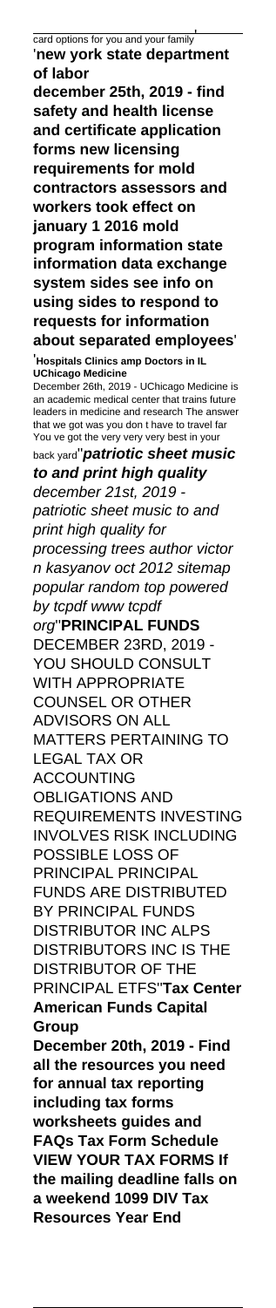card options for you and your family' '**new york state department of labor december 25th, 2019 - find safety and health license and certificate application forms new licensing requirements for mold contractors assessors and workers took effect on january 1 2016 mold program information state information data exchange system sides see info on using sides to respond to requests for information about separated employees**' '**Hospitals Clinics amp Doctors in IL UChicago Medicine** December 26th, 2019 - UChicago Medicine is an academic medical center that trains future leaders in medicine and research The answer that we got was you don t have to travel far You ve got the very very very best in your back yard''**patriotic sheet music to and print high quality** december 21st, 2019 patriotic sheet music to and print high quality for processing trees author victor n kasyanov oct 2012 sitemap popular random top powered by tcpdf www tcpdf org''**PRINCIPAL FUNDS** DECEMBER 23RD, 2019 - YOU SHOULD CONSULT WITH APPROPRIATE COUNSEL OR OTHER ADVISORS ON ALL MATTERS PERTAINING TO LEGAL TAX OR ACCOUNTING OBLIGATIONS AND REQUIREMENTS INVESTING INVOLVES RISK INCLUDING POSSIBLE LOSS OF PRINCIPAL PRINCIPAL FUNDS ARE DISTRIBUTED BY PRINCIPAL FUNDS DISTRIBUTOR INC ALPS DISTRIBUTORS INC IS THE DISTRIBUTOR OF THE PRINCIPAL ETFS''**Tax Center American Funds Capital Group December 20th, 2019 - Find all the resources you need for annual tax reporting including tax forms worksheets guides and FAQs Tax Form Schedule VIEW YOUR TAX FORMS If the mailing deadline falls on a weekend 1099 DIV Tax Resources Year End**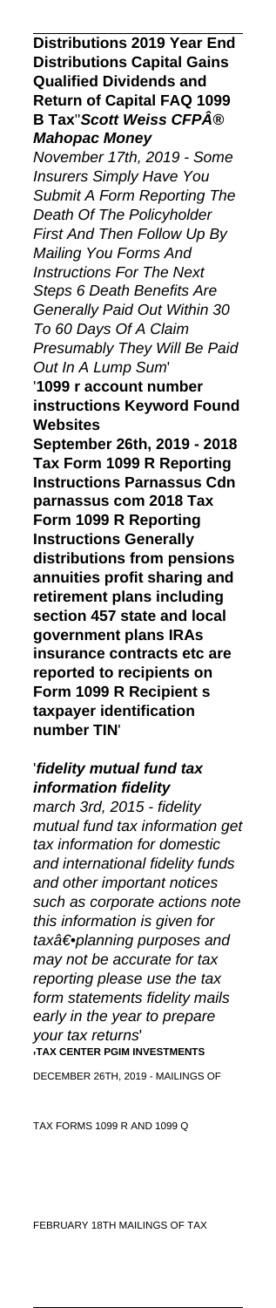**Distributions 2019 Year End Distributions Capital Gains Qualified Dividends and Return of Capital FAQ 1099 B Tax**"Scott Weiss CFP® **Mahopac Money**

November 17th, 2019 - Some Insurers Simply Have You Submit A Form Reporting The Death Of The Policyholder First And Then Follow Up By Mailing You Forms And Instructions For The Next Steps 6 Death Benefits Are Generally Paid Out Within 30 To 60 Days Of A Claim Presumably They Will Be Paid Out In A Lump Sum' '**1099 r account number**

**instructions Keyword Found Websites**

**September 26th, 2019 - 2018 Tax Form 1099 R Reporting Instructions Parnassus Cdn parnassus com 2018 Tax Form 1099 R Reporting Instructions Generally distributions from pensions annuities profit sharing and retirement plans including section 457 state and local government plans IRAs insurance contracts etc are reported to recipients on Form 1099 R Recipient s taxpayer identification number TIN**'

'**fidelity mutual fund tax information fidelity** march 3rd, 2015 - fidelity mutual fund tax information get tax information for domestic and international fidelity funds and other important notices such as corporate actions note this information is given for tax†• planning purposes and may not be accurate for tax reporting please use the tax form statements fidelity mails early in the year to prepare your tax returns' '**TAX CENTER PGIM INVESTMENTS** DECEMBER 26TH, 2019 - MAILINGS OF

TAX FORMS 1099 R AND 1099 Q

FEBRUARY 18TH MAILINGS OF TAX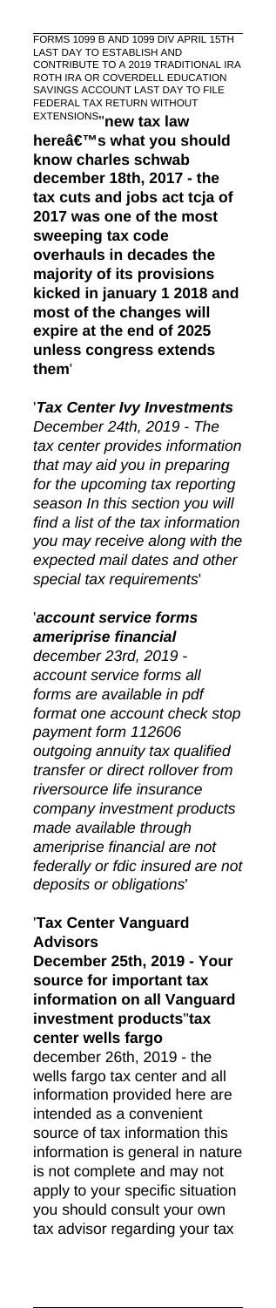FORMS 1099 B AND 1099 DIV APRIL 15TH LAST DAY TO ESTABLISH AND CONTRIBUTE TO A 2019 TRADITIONAL IRA ROTH IRA OR COVERDELL EDUCATION SAVINGS ACCOUNT LAST DAY TO FILE FEDERAL TAX RETURN WITHOUT EXTENSIONS''**new tax law**

**here's what you should know charles schwab december 18th, 2017 - the tax cuts and jobs act tcja of 2017 was one of the most sweeping tax code overhauls in decades the majority of its provisions kicked in january 1 2018 and most of the changes will expire at the end of 2025 unless congress extends them**'

'**Tax Center Ivy Investments** December 24th, 2019 - The tax center provides information that may aid you in preparing for the upcoming tax reporting season In this section you will find a list of the tax information you may receive along with the expected mail dates and other special tax requirements'

'**account service forms ameriprise financial** december 23rd, 2019 account service forms all forms are available in pdf format one account check stop payment form 112606 outgoing annuity tax qualified transfer or direct rollover from riversource life insurance company investment products made available through ameriprise financial are not federally or fdic insured are not deposits or obligations'

## '**Tax Center Vanguard Advisors**

**December 25th, 2019 - Your source for important tax information on all Vanguard investment products**''**tax center wells fargo** december 26th, 2019 - the wells fargo tax center and all information provided here are intended as a convenient source of tax information this information is general in nature is not complete and may not apply to your specific situation you should consult your own tax advisor regarding your tax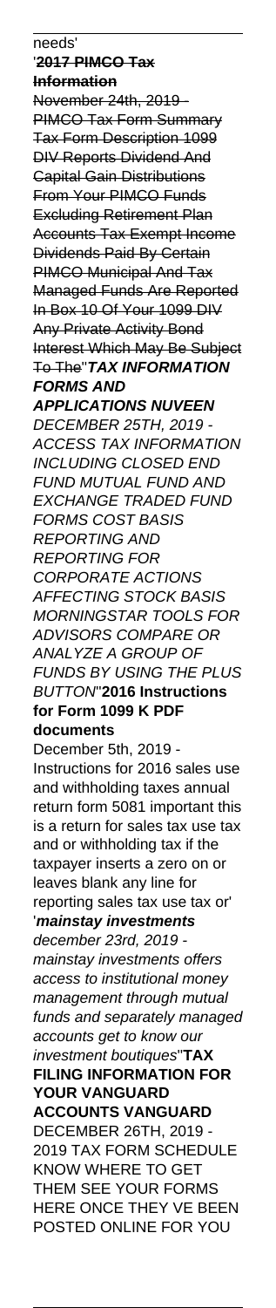needs' '**2017 PIMCO Tax Information** November 24th, 2019 - PIMCO Tax Form Summary Tax Form Description 1099 DIV Reports Dividend And Capital Gain Distributions From Your PIMCO Funds Excluding Retirement Plan Accounts Tax Exempt Income Dividends Paid By Certain PIMCO Municipal And Tax Managed Funds Are Reported In Box 10 Of Your 1099 DIV Any Private Activity Bond Interest Which May Be Subject To The''**TAX INFORMATION FORMS AND APPLICATIONS NUVEEN** DECEMBER 25TH, 2019 - ACCESS TAX INFORMATION INCLUDING CLOSED END FUND MUTUAL FUND AND EXCHANGE TRADED FUND FORMS COST BASIS REPORTING AND REPORTING FOR CORPORATE ACTIONS AFFECTING STOCK BASIS MORNINGSTAR TOOLS FOR ADVISORS COMPARE OR ANALYZE A GROUP OF FUNDS BY USING THE PLUS BUTTON''**2016 Instructions for Form 1099 K PDF documents** December 5th, 2019 - Instructions for 2016 sales use and withholding taxes annual return form 5081 important this is a return for sales tax use tax and or withholding tax if the taxpayer inserts a zero on or leaves blank any line for reporting sales tax use tax or' '**mainstay investments** december 23rd, 2019 mainstay investments offers access to institutional money management through mutual funds and separately managed accounts get to know our investment boutiques''**TAX FILING INFORMATION FOR YOUR VANGUARD ACCOUNTS VANGUARD** DECEMBER 26TH, 2019 - 2019 TAX FORM SCHEDULE KNOW WHERE TO GET THEM SEE YOUR FORMS HERE ONCE THEY VE BEEN POSTED ONLINE FOR YOU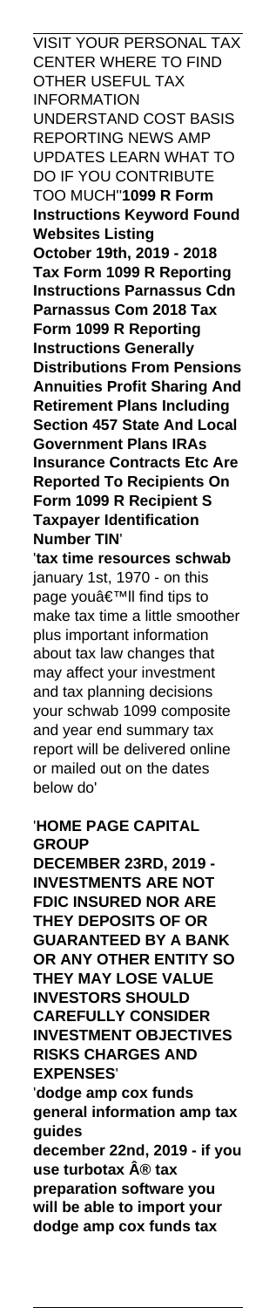VISIT YOUR PERSONAL TAX CENTER WHERE TO FIND **OTHER USEFUL TAX** INFORMATION

UNDERSTAND COST BASIS REPORTING NEWS AMP UPDATES LEARN WHAT TO DO IF YOU CONTRIBUTE TOO MUCH''**1099 R Form Instructions Keyword Found Websites Listing**

**October 19th, 2019 - 2018 Tax Form 1099 R Reporting Instructions Parnassus Cdn Parnassus Com 2018 Tax Form 1099 R Reporting Instructions Generally Distributions From Pensions Annuities Profit Sharing And Retirement Plans Including Section 457 State And Local Government Plans IRAs Insurance Contracts Etc Are Reported To Recipients On Form 1099 R Recipient S Taxpayer Identification Number TIN**'

'**tax time resources schwab** january 1st, 1970 - on this page you'II find tips to make tax time a little smoother plus important information about tax law changes that may affect your investment and tax planning decisions your schwab 1099 composite and year end summary tax report will be delivered online or mailed out on the dates below do'

# '**HOME PAGE CAPITAL GROUP**

**DECEMBER 23RD, 2019 - INVESTMENTS ARE NOT FDIC INSURED NOR ARE THEY DEPOSITS OF OR GUARANTEED BY A BANK OR ANY OTHER ENTITY SO THEY MAY LOSE VALUE INVESTORS SHOULD CAREFULLY CONSIDER INVESTMENT OBJECTIVES RISKS CHARGES AND EXPENSES**' '**dodge amp cox funds general information amp tax guides december 22nd, 2019 - if you use turbotax**  $\hat{A}$ **® tax preparation software you will be able to import your dodge amp cox funds tax**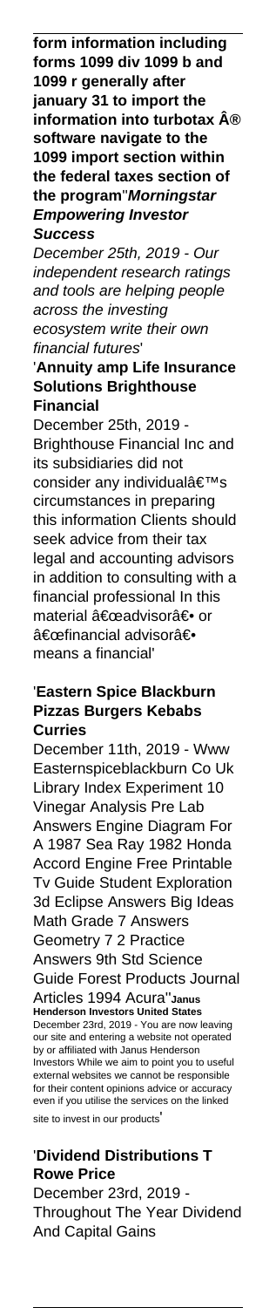**form information including forms 1099 div 1099 b and 1099 r generally after january 31 to import the information into turbotax ® software navigate to the 1099 import section within the federal taxes section of the program**''**Morningstar Empowering Investor Success**

December 25th, 2019 - Our independent research ratings and tools are helping people across the investing ecosystem write their own financial futures'

### '**Annuity amp Life Insurance Solutions Brighthouse Financial**

December 25th, 2019 - Brighthouse Financial Inc and its subsidiaries did not consider any individual's circumstances in preparing this information Clients should seek advice from their tax legal and accounting advisors in addition to consulting with a financial professional In this material "advisor― or "financial advisor― means a financial'

# '**Eastern Spice Blackburn Pizzas Burgers Kebabs Curries**

December 11th, 2019 - Www Easternspiceblackburn Co Uk Library Index Experiment 10 Vinegar Analysis Pre Lab Answers Engine Diagram For A 1987 Sea Ray 1982 Honda Accord Engine Free Printable Tv Guide Student Exploration 3d Eclipse Answers Big Ideas Math Grade 7 Answers Geometry 7 2 Practice Answers 9th Std Science Guide Forest Products Journal Articles 1994 Acura''**Janus Henderson Investors United States** December 23rd, 2019 - You are now leaving our site and entering a website not operated by or affiliated with Janus Henderson Investors While we aim to point you to useful external websites we cannot be responsible for their content opinions advice or accuracy even if you utilise the services on the linked site to invest in our products'

# '**Dividend Distributions T Rowe Price**

December 23rd, 2019 - Throughout The Year Dividend And Capital Gains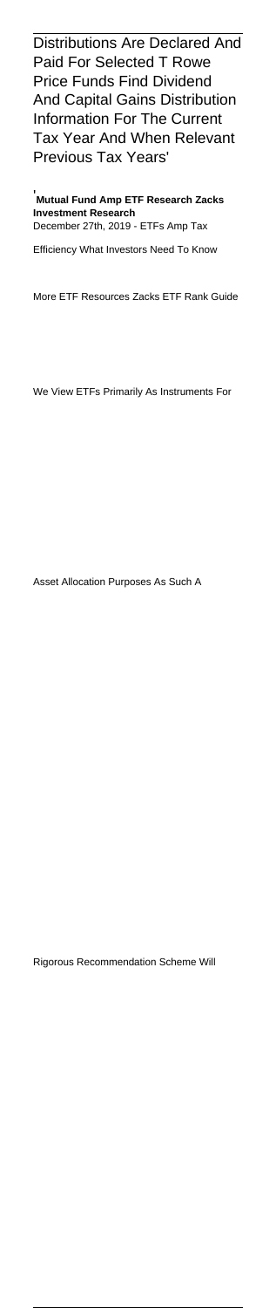Distributions Are Declared And Paid For Selected T Rowe Price Funds Find Dividend And Capital Gains Distribution Information For The Current Tax Year And When Relevant Previous Tax Years'

'**Mutual Fund Amp ETF Research Zacks Investment Research** December 27th, 2019 - ETFs Amp Tax

Efficiency What Investors Need To Know

More ETF Resources Zacks ETF Rank Guide

We View ETFs Primarily As Instruments For

Asset Allocation Purposes As Such A

Rigorous Recommendation Scheme Will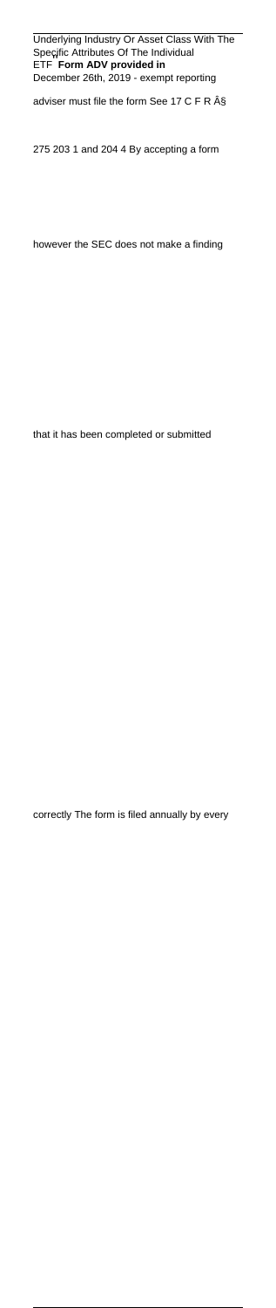Underlying Industry Or Asset Class With The Specific Attributes Of The Individual<br>ETF**\_Form ADV provided in** December 26th, 2019 - exempt reporting

adviser must file the form See 17 C F R §

275 203 1 and 204 4 By accepting a form

however the SEC does not make a finding

that it has been completed or submitted

correctly The form is filed annually by every